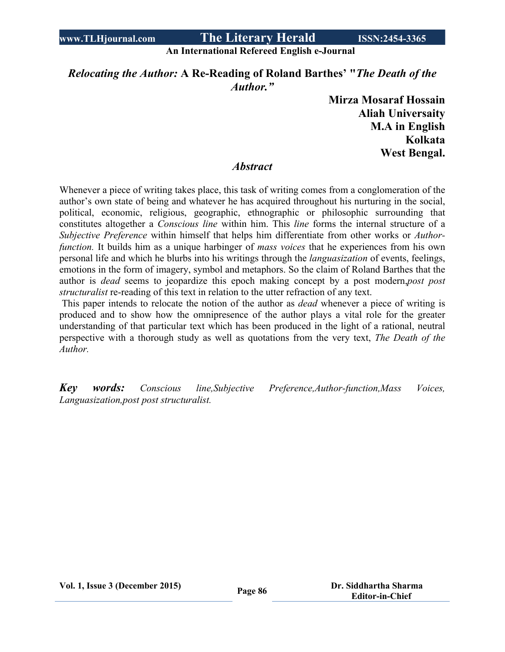#### **An International Refereed English e-Journal**

## *Relocating the Author:* **A Re-Reading of Roland Barthes' "***The Death of the Author."*

**Mirza Mosaraf Hossain Aliah Universaity M.A in English Kolkata West Bengal.**

### *Abstract*

Whenever a piece of writing takes place, this task of writing comes from a conglomeration of the author's own state of being and whatever he has acquired throughout his nurturing in the social, political, economic, religious, geographic, ethnographic or philosophic surrounding that constitutes altogether a *Conscious line* within him. This *line* forms the internal structure of a *Subjective Preference* within himself that helps him differentiate from other works or *Authorfunction.* It builds him as a unique harbinger of *mass voices* that he experiences from his own personal life and which he blurbs into his writings through the *languasization* of events, feelings, emotions in the form of imagery, symbol and metaphors. So the claim of Roland Barthes that the author is *dead* seems to jeopardize this epoch making concept by a post modern,*post post structuralist* re-reading of this text in relation to the utter refraction of any text.

This paper intends to relocate the notion of the author as *dead* whenever a piece of writing is produced and to show how the omnipresence of the author plays a vital role for the greater understanding of that particular text which has been produced in the light of a rational, neutral perspective with a thorough study as well as quotations from the very text, *The Death of the Author.*

*Key words: Conscious line,Subjective Preference,Author-function,Mass Voices, Languasization,post post structuralist.*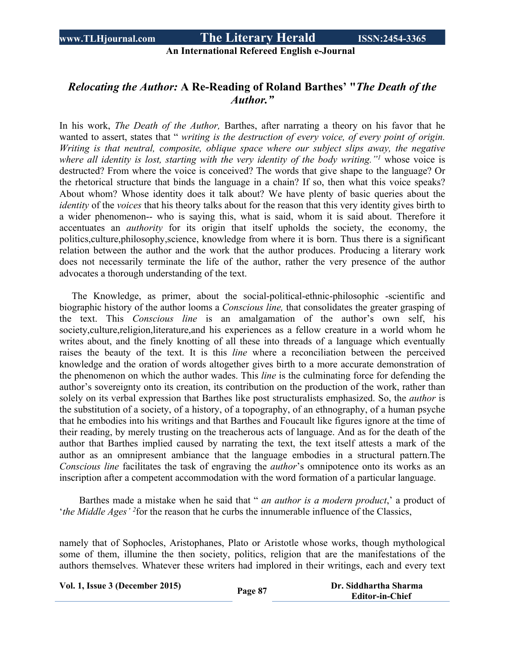### **An International Refereed English e-Journal**

## *Relocating the Author:* **A Re-Reading of Roland Barthes' "***The Death of the Author."*

In his work, *The Death of the Author,* Barthes, after narrating a theory on his favor that he wanted to assert, states that " *writing is the destruction of every voice, of every point of origin. Writing is that neutral, composite, oblique space where our subject slips away, the negative where all identity is lost, starting with the very identity of the body writing."<sup>1</sup>* whose voice is destructed? From where the voice is conceived? The words that give shape to the language? Or the rhetorical structure that binds the language in a chain? If so, then what this voice speaks? About whom? Whose identity does it talk about? We have plenty of basic queries about the *identity* of the *voices* that his theory talks about for the reason that this very identity gives birth to a wider phenomenon-- who is saying this, what is said, whom it is said about. Therefore it accentuates an *authority* for its origin that itself upholds the society, the economy, the politics,culture,philosophy,science, knowledge from where it is born. Thus there is a significant relation between the author and the work that the author produces. Producing a literary work does not necessarily terminate the life of the author, rather the very presence of the author advocates a thorough understanding of the text.

 The Knowledge, as primer, about the social-political-ethnic-philosophic -scientific and biographic history of the author looms a *Conscious line,* that consolidates the greater grasping of the text. This *Conscious line* is an amalgamation of the author's own self, his society,culture,religion,literature,and his experiences as a fellow creature in a world whom he writes about, and the finely knotting of all these into threads of a language which eventually raises the beauty of the text. It is this *line* where a reconciliation between the perceived knowledge and the oration of words altogether gives birth to a more accurate demonstration of the phenomenon on which the author wades. This *line* is the culminating force for defending the author's sovereignty onto its creation, its contribution on the production of the work, rather than solely on its verbal expression that Barthes like post structuralists emphasized. So, the *author* is the substitution of a society, of a history, of a topography, of an ethnography, of a human psyche that he embodies into his writings and that Barthes and Foucault like figures ignore at the time of their reading, by merely trusting on the treacherous acts of language. And as for the death of the author that Barthes implied caused by narrating the text, the text itself attests a mark of the author as an omnipresent ambiance that the language embodies in a structural pattern.The *Conscious line* facilitates the task of engraving the *author*'s omnipotence onto its works as an inscription after a competent accommodation with the word formation of a particular language.

Barthes made a mistake when he said that " *an author is a modern product*,' a product of *'the Middle Ages'* <sup>2</sup> for the reason that he curbs the innumerable influence of the Classics,

namely that of Sophocles, Aristophanes, Plato or Aristotle whose works, though mythological some of them, illumine the then society, politics, religion that are the manifestations of the authors themselves. Whatever these writers had implored in their writings, each and every text

**Vol. 1, Issue <sup>3</sup> (December 2015) Page <sup>87</sup> Dr. Siddhartha Sharma**

**Editor-in-Chief**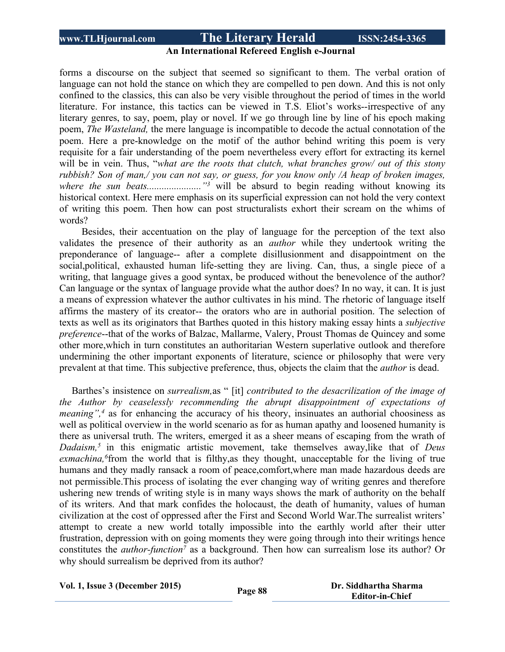### **An International Refereed English e-Journal**

forms a discourse on the subject that seemed so significant to them. The verbal oration of language can not hold the stance on which they are compelled to pen down. And this is not only confined to the classics, this can also be very visible throughout the period of times in the world literature. For instance, this tactics can be viewed in T.S. Eliot's works--irrespective of any literary genres, to say, poem, play or novel. If we go through line by line of his epoch making poem, *The Wasteland,* the mere language is incompatible to decode the actual connotation of the poem. Here a pre-knowledge on the motif of the author behind writing this poem is very requisite for a fair understanding of the poem nevertheless every effort for extracting its kernel will be in vein. Thus, "*what are the roots that clutch, what branches grow/ out of this stony* rubbish? Son of man,/ you can not say, or guess, for you know only /A heap of broken images, *where the sun beats.......................*....<sup>"3</sup> will be absurd to begin reading without knowing its historical context. Here mere emphasis on its superficial expression can not hold the very context of writing this poem. Then how can post structuralists exhort their scream on the whims of words?

Besides, their accentuation on the play of language for the perception of the text also validates the presence of their authority as an *author* while they undertook writing the preponderance of language-- after a complete disillusionment and disappointment on the social,political, exhausted human life-setting they are living. Can, thus, a single piece of a writing, that language gives a good syntax, be produced without the benevolence of the author? Can language or the syntax of language provide what the author does? In no way, it can. It is just a means of expression whatever the author cultivates in his mind. The rhetoric of language itself affirms the mastery of its creator-- the orators who are in authorial position. The selection of texts as well as its originators that Barthes quoted in this history making essay hints a *subjective preference*--that of the works of Balzac, Mallarme, Valery, Proust Thomas de Quincey and some other more,which in turn constitutes an authoritarian Western superlative outlook and therefore undermining the other important exponents of literature, science or philosophy that were very prevalent at that time. This subjective preference, thus, objects the claim that the *author* is dead.

 Barthes's insistence on *surrealism,*as " [it] *contributed to the desacrilization of the image of the Author by ceaselessly recommending the abrupt disappointment of expectations of meaning*",<sup>4</sup> as for enhancing the accuracy of his theory, insinuates an authorial choosiness as well as political overview in the world scenario as for as human apathy and loosened humanity is there as universal truth. The writers, emerged it as a sheer means of escaping from the wrath of *Dadaism,<sup>5</sup>* in this enigmatic artistic movement, take themselves away,like that of *Deus exmachina,<sup>6</sup>* from the world that is filthy,as they thought, unacceptable for the living of true humans and they madly ransack a room of peace,comfort,where man made hazardous deeds are not permissible.This process of isolating the ever changing way of writing genres and therefore ushering new trends of writing style is in many ways shows the mark of authority on the behalf of its writers. And that mark confides the holocaust, the death of humanity, values of human civilization at the cost of oppressed after the First and Second World War.The surrealist writers' attempt to create a new world totally impossible into the earthly world after their utter frustration, depression with on going moments they were going through into their writings hence constitutes the *author-function<sup>7</sup>* as a background. Then how can surrealism lose its author? Or why should surrealism be deprived from its author?

| Vol. 1, Issue 3 (December 2015) |  |  |
|---------------------------------|--|--|
|---------------------------------|--|--|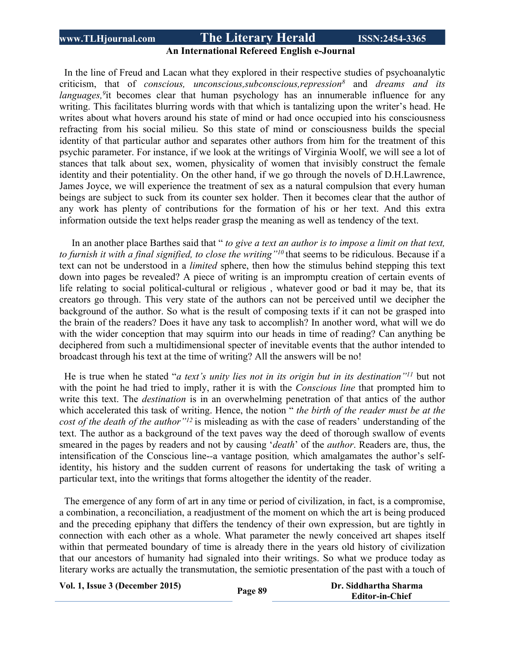### **An International Refereed English e-Journal**

 In the line of Freud and Lacan what they explored in their respective studies of psychoanalytic criticism, that of *conscious, unconscious,subconscious,repression<sup>8</sup>* and *dreams and its* languages, <sup>9</sup>it becomes clear that human psychology has an innumerable influence for any writing. This facilitates blurring words with that which is tantalizing upon the writer's head. He writes about what hovers around his state of mind or had once occupied into his consciousness refracting from his social milieu. So this state of mind or consciousness builds the special identity of that particular author and separates other authors from him for the treatment of this psychic parameter. For instance, if we look at the writings of Virginia Woolf, we will see a lot of stances that talk about sex, women, physicality of women that invisibly construct the female identity and their potentiality. On the other hand, if we go through the novels of D.H.Lawrence, James Joyce, we will experience the treatment of sex as a natural compulsion that every human beings are subject to suck from its counter sex holder. Then it becomes clear that the author of any work has plenty of contributions for the formation of his or her text. And this extra information outside the text helps reader grasp the meaning as well as tendency of the text.

 In an another place Barthes said that " *to give a text an author is to impose a limit on that text, to furnish it with a final signified, to close the writing"<sup>10</sup>* that seems to be ridiculous. Because if a text can not be understood in a *limited* sphere, then how the stimulus behind stepping this text down into pages be revealed? A piece of writing is an impromptu creation of certain events of life relating to social political-cultural or religious , whatever good or bad it may be, that its creators go through. This very state of the authors can not be perceived until we decipher the background of the author. So what is the result of composing texts if it can not be grasped into the brain of the readers? Does it have any task to accomplish? In another word, what will we do with the wider conception that may squirm into our heads in time of reading? Can anything be deciphered from such a multidimensional specter of inevitable events that the author intended to broadcast through his text at the time of writing? All the answers will be no!

 He is true when he stated "*a text's unity lies not in its origin but in its destination"<sup>11</sup>* but not with the point he had tried to imply, rather it is with the *Conscious line* that prompted him to write this text. The *destination* is in an overwhelming penetration of that antics of the author which accelerated this task of writing. Hence, the notion " *the birth of the reader must be at the cost of the death of the author"<sup>12</sup>* is misleading as with the case of readers' understanding of the text. The author as a background of the text paves way the deed of thorough swallow of events smeared in the pages by readers and not by causing '*death*' of the *author*. Readers are, thus, the intensification of the Conscious line-*-*a vantage position*,* which amalgamates the author's selfidentity, his history and the sudden current of reasons for undertaking the task of writing a particular text, into the writings that forms altogether the identity of the reader.

 The emergence of any form of art in any time or period of civilization, in fact, is a compromise, a combination, a reconciliation, a readjustment of the moment on which the art is being produced and the preceding epiphany that differs the tendency of their own expression, but are tightly in connection with each other as a whole. What parameter the newly conceived art shapes itself within that permeated boundary of time is already there in the years old history of civilization that our ancestors of humanity had signaled into their writings. So what we produce today as literary works are actually the transmutation, the semiotic presentation of the past with a touch of

**Vol. 1, Issue <sup>3</sup> (December 2015) Page <sup>89</sup> Dr. Siddhartha Sharma**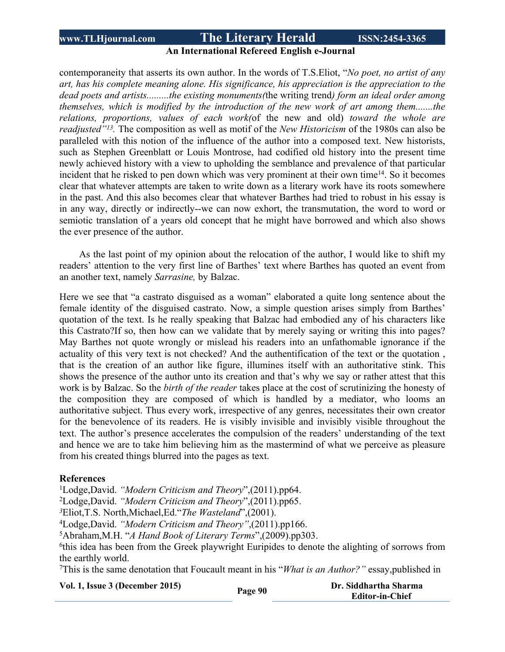### **An International Refereed English e-Journal**

contemporaneity that asserts its own author. In the words of T.S.Eliot, "*No poet, no artist of any art, has his complete meaning alone. His significance, his appreciation is the appreciation to the dead poets and artists.........the existing monuments(*the writing trend*) form an ideal order among themselves, which is modified by the introduction of the new work of art among them.......the relations, proportions, values of each work(*of the new and old) *toward the whole are readjusted"<sup>13</sup> .* The composition as well as motif of the *New Historicism* of the 1980s can also be paralleled with this notion of the influence of the author into a composed text. New historists, such as Stephen Greenblatt or Louis Montrose, had codified old history into the present time newly achieved history with a view to upholding the semblance and prevalence of that particular incident that he risked to pen down which was very prominent at their own time<sup>14</sup>. So it becomes clear that whatever attempts are taken to write down as a literary work have its roots somewhere in the past. And this also becomes clear that whatever Barthes had tried to robust in his essay is in any way, directly or indirectly--we can now exhort, the transmutation, the word to word or semiotic translation of a years old concept that he might have borrowed and which also shows the ever presence of the author.

As the last point of my opinion about the relocation of the author, I would like to shift my readers' attention to the very first line of Barthes' text where Barthes has quoted an event from an another text, namely *Sarrasine,* by Balzac.

Here we see that "a castrato disguised as a woman" elaborated a quite long sentence about the female identity of the disguised castrato. Now, a simple question arises simply from Barthes' quotation of the text. Is he really speaking that Balzac had embodied any of his characters like this Castrato?If so, then how can we validate that by merely saying or writing this into pages? May Barthes not quote wrongly or mislead his readers into an unfathomable ignorance if the actuality of this very text is not checked? And the authentification of the text or the quotation , that is the creation of an author like figure, illumines itself with an authoritative stink. This shows the presence of the author unto its creation and that's why we say or rather attest that this work is by Balzac. So the *birth of the reader* takes place at the cost of scrutinizing the honesty of the composition they are composed of which is handled by a mediator, who looms an authoritative subject. Thus every work, irrespective of any genres, necessitates their own creator for the benevolence of its readers. He is visibly invisible and invisibly visible throughout the text. The author's presence accelerates the compulsion of the readers' understanding of the text and hence we are to take him believing him as the mastermind of what we perceive as pleasure from his created things blurred into the pages as text.

#### **References**

<sup>1</sup>Lodge,David. *"Modern Criticism and Theory*",(2011).pp64.

<sup>2</sup>Lodge,David. *"Modern Criticism and Theory*",(2011).pp65.

*<sup>3</sup>*Eliot,T.S. North,Michael,Ed."*The Wasteland*",(2001).

<sup>4</sup>Lodge,David. *"Modern Criticism and Theory"*,(2011).pp166.

<sup>5</sup>Abraham,M.H. "*A Hand Book of Literary Terms*",(2009).pp303.

<sup>6</sup>this idea has been from the Greek playwright Euripides to denote the alighting of sorrows from the earthly world.

<sup>7</sup>This is the same denotation that Foucault meant in his "*What is an Author?"* essay,published in

**Vol. 1, Issue <sup>3</sup> (December 2015) Page <sup>90</sup> Dr. Siddhartha Sharma**

**Editor-in-Chief**